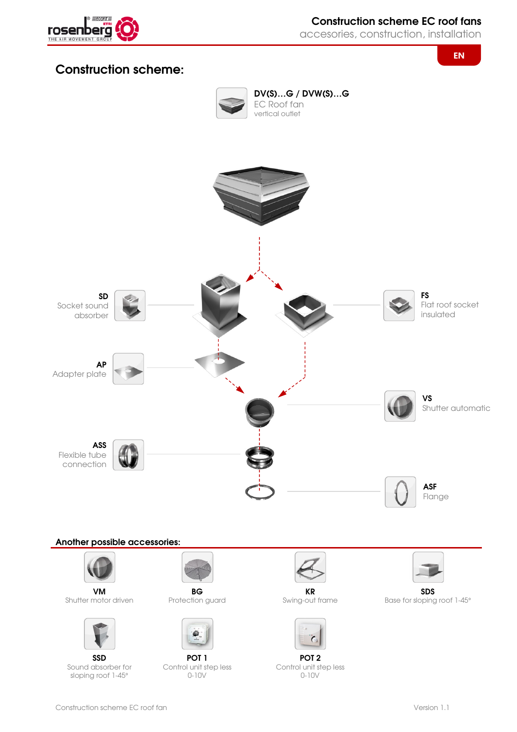

accesories, construction, installation

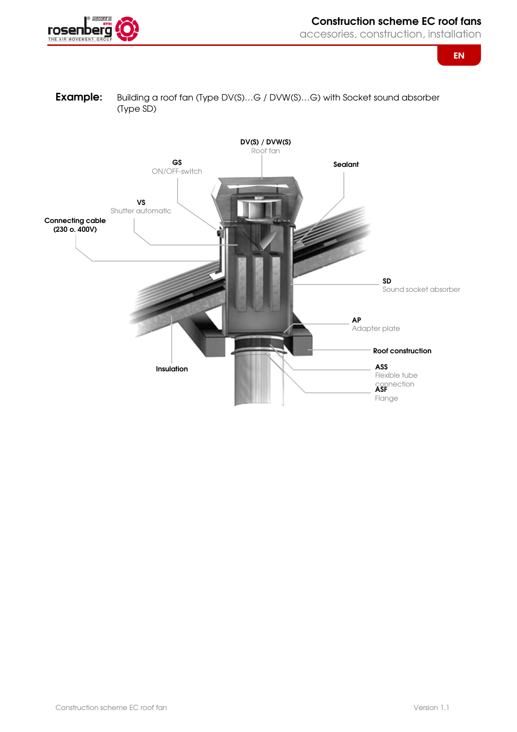

accesories, construction, installation

**EN**

**Example:** Building a roof fan (Type DV(S)...G / DVW(S)...G) with Socket sound absorber (Type SD)

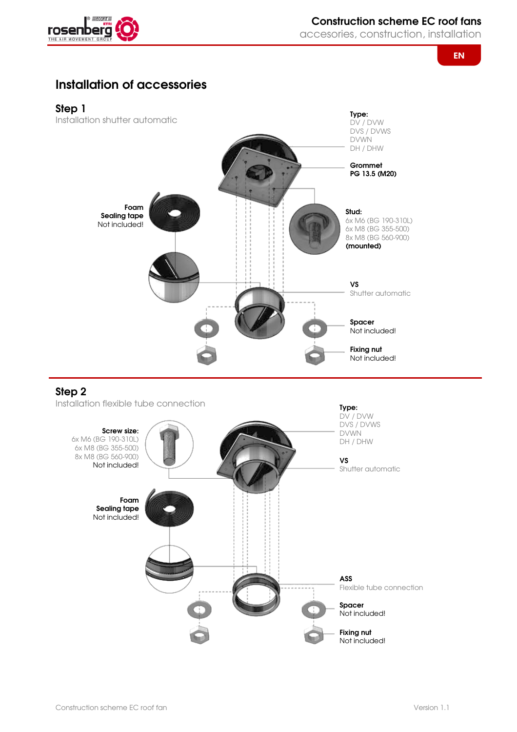

## Construction scheme EC roof fans

**EN**

accesories, construction, installation

# Installation of accessories

#### Step 1

Installation shutter automatic



## Step 2

Installation flexible tube connection